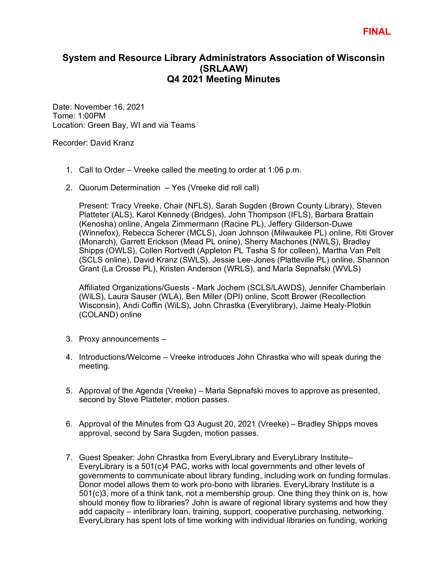## **System and Resource Library Administrators Association of Wisconsin (SRLAAW) Q4 2021 Meeting Minutes**

Date: November 16, 2021 Tome: 1:00PM Location: Green Bay, WI and via Teams

Recorder: David Kranz

- 1. Call to Order Vreeke called the meeting to order at 1:06 p.m.
- 2. Quorum Determination Yes (Vreeke did roll call)

Present: Tracy Vreeke, Chair (NFLS), Sarah Sugden (Brown County Library), Steven Platteter (ALS), Karol Kennedy (Bridges), John Thompson (IFLS), Barbara Brattain (Kenosha) online, Angela Zimmermann (Racine PL), Jeffery Gilderson-Duwe (Winnefox), Rebecca Scherer (MCLS), Joan Johnson (Milwaukee PL) online, Riti Grover (Monarch), Garrett Erickson (Mead PL onine), Sherry Machones (NWLS), Bradley Shipps (OWLS), Collen Rortvedt (Appleton PL Tasha S for colleen), Martha Van Pelt (SCLS online), David Kranz (SWLS), Jessie Lee-Jones (Platteville PL) online, Shannon Grant (La Crosse PL), Kristen Anderson (WRLS), and Marla Sepnafski (WVLS)

Affiliated Organizations/Guests - Mark Jochem (SCLS/LAWDS), Jennifer Chamberlain (WiLS), Laura Sauser (WLA), Ben Miller (DPI) online, Scott Brower (Recollection Wisconsin), Andi Coffin (WiLS), John Chrastka (Everylibrary), Jaime Healy-Plotkin (COLAND) online

- 3. Proxy announcements –
- 4. Introductions/Welcome Vreeke introduces John Chrastka who will speak during the meeting.
- 5. Approval of the Agenda (Vreeke) Marla Sepnafski moves to approve as presented, second by Steve Platteter, motion passes.
- 6. Approval of the Minutes from Q3 August 20, 2021 (Vreeke) Bradley Shipps moves approval, second by Sara Sugden, motion passes.
- 7. Guest Speaker: John Chrastka from EveryLibrary and EveryLibrary Institute– EveryLibrary is a 501(c)4 PAC, works with local governments and other levels of governments to communicate about library funding, including work on funding formulas. Donor model allows them to work pro-bono with libraries. EveryLibrary Institute is a 501(c)3, more of a think tank, not a membership group. One thing they think on is, how should money flow to libraries? John is aware of regional library systems and how they add capacity – interlibrary loan, training, support, cooperative purchasing, networking. EveryLibrary has spent lots of time working with individual libraries on funding, working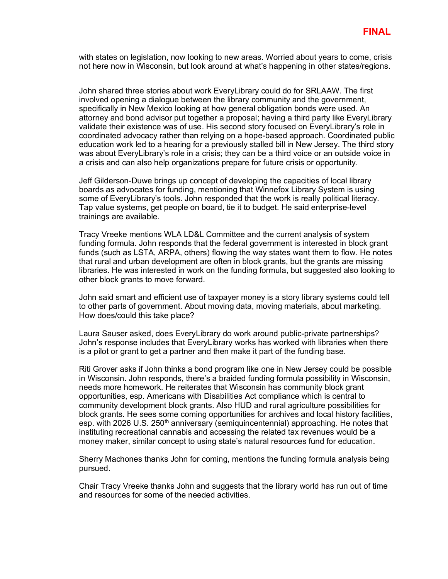with states on legislation, now looking to new areas. Worried about years to come, crisis not here now in Wisconsin, but look around at what's happening in other states/regions.

John shared three stories about work EveryLibrary could do for SRLAAW. The first involved opening a dialogue between the library community and the government, specifically in New Mexico looking at how general obligation bonds were used. An attorney and bond advisor put together a proposal; having a third party like EveryLibrary validate their existence was of use. His second story focused on EveryLibrary's role in coordinated advocacy rather than relying on a hope-based approach. Coordinated public education work led to a hearing for a previously stalled bill in New Jersey. The third story was about EveryLibrary's role in a crisis; they can be a third voice or an outside voice in a crisis and can also help organizations prepare for future crisis or opportunity.

Jeff Gilderson-Duwe brings up concept of developing the capacities of local library boards as advocates for funding, mentioning that Winnefox Library System is using some of EveryLibrary's tools. John responded that the work is really political literacy. Tap value systems, get people on board, tie it to budget. He said enterprise-level trainings are available.

Tracy Vreeke mentions WLA LD&L Committee and the current analysis of system funding formula. John responds that the federal government is interested in block grant funds (such as LSTA, ARPA, others) flowing the way states want them to flow. He notes that rural and urban development are often in block grants, but the grants are missing libraries. He was interested in work on the funding formula, but suggested also looking to other block grants to move forward.

John said smart and efficient use of taxpayer money is a story library systems could tell to other parts of government. About moving data, moving materials, about marketing. How does/could this take place?

Laura Sauser asked, does EveryLibrary do work around public-private partnerships? John's response includes that EveryLibrary works has worked with libraries when there is a pilot or grant to get a partner and then make it part of the funding base.

Riti Grover asks if John thinks a bond program like one in New Jersey could be possible in Wisconsin. John responds, there's a braided funding formula possibility in Wisconsin, needs more homework. He reiterates that Wisconsin has community block grant opportunities, esp. Americans with Disabilities Act compliance which is central to community development block grants. Also HUD and rural agriculture possibilities for block grants. He sees some coming opportunities for archives and local history facilities, esp. with 2026 U.S. 250<sup>th</sup> anniversary (semiquincentennial) approaching. He notes that instituting recreational cannabis and accessing the related tax revenues would be a money maker, similar concept to using state's natural resources fund for education.

Sherry Machones thanks John for coming, mentions the funding formula analysis being pursued.

Chair Tracy Vreeke thanks John and suggests that the library world has run out of time and resources for some of the needed activities.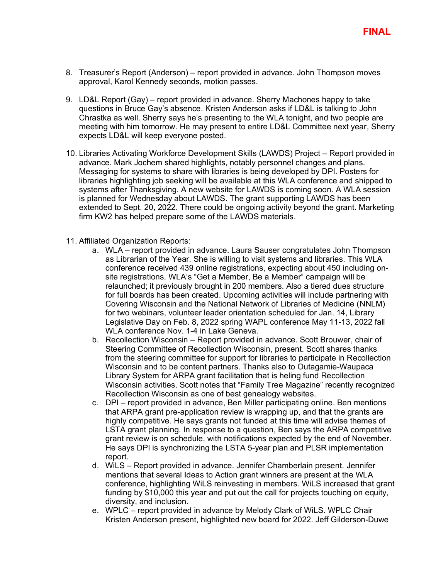- 8. Treasurer's Report (Anderson) report provided in advance. John Thompson moves approval, Karol Kennedy seconds, motion passes.
- 9. LD&L Report (Gay) report provided in advance. Sherry Machones happy to take questions in Bruce Gay's absence. Kristen Anderson asks if LD&L is talking to John Chrastka as well. Sherry says he's presenting to the WLA tonight, and two people are meeting with him tomorrow. He may present to entire LD&L Committee next year, Sherry expects LD&L will keep everyone posted.
- 10. Libraries Activating Workforce Development Skills (LAWDS) Project Report provided in advance. Mark Jochem shared highlights, notably personnel changes and plans. Messaging for systems to share with libraries is being developed by DPI. Posters for libraries highlighting job seeking will be available at this WLA conference and shipped to systems after Thanksgiving. A new website for LAWDS is coming soon. A WLA session is planned for Wednesday about LAWDS. The grant supporting LAWDS has been extended to Sept. 20, 2022. There could be ongoing activity beyond the grant. Marketing firm KW2 has helped prepare some of the LAWDS materials.
- 11. Affiliated Organization Reports:
	- a. WLA report provided in advance. Laura Sauser congratulates John Thompson as Librarian of the Year. She is willing to visit systems and libraries. This WLA conference received 439 online registrations, expecting about 450 including onsite registrations. WLA's "Get a Member, Be a Member" campaign will be relaunched; it previously brought in 200 members. Also a tiered dues structure for full boards has been created. Upcoming activities will include partnering with Covering Wisconsin and the National Network of Libraries of Medicine (NNLM) for two webinars, volunteer leader orientation scheduled for Jan. 14, Library Legislative Day on Feb. 8, 2022 spring WAPL conference May 11-13, 2022 fall WLA conference Nov. 1-4 in Lake Geneva.
	- b. Recollection Wisconsin Report provided in advance. Scott Brouwer, chair of Steering Committee of Recollection Wisconsin, present. Scott shares thanks from the steering committee for support for libraries to participate in Recollection Wisconsin and to be content partners. Thanks also to Outagamie-Waupaca Library System for ARPA grant facilitation that is heling fund Recollection Wisconsin activities. Scott notes that "Family Tree Magazine" recently recognized Recollection Wisconsin as one of best genealogy websites.
	- c. DPI report provided in advance, Ben Miller participating online. Ben mentions that ARPA grant pre-application review is wrapping up, and that the grants are highly competitive. He says grants not funded at this time will advise themes of LSTA grant planning. In response to a question, Ben says the ARPA competitive grant review is on schedule, with notifications expected by the end of November. He says DPI is synchronizing the LSTA 5-year plan and PLSR implementation report.
	- d. WiLS Report provided in advance. Jennifer Chamberlain present. Jennifer mentions that several Ideas to Action grant winners are present at the WLA conference, highlighting WiLS reinvesting in members. WiLS increased that grant funding by \$10,000 this year and put out the call for projects touching on equity, diversity, and inclusion.
	- e. WPLC report provided in advance by Melody Clark of WiLS. WPLC Chair Kristen Anderson present, highlighted new board for 2022. Jeff Gilderson-Duwe